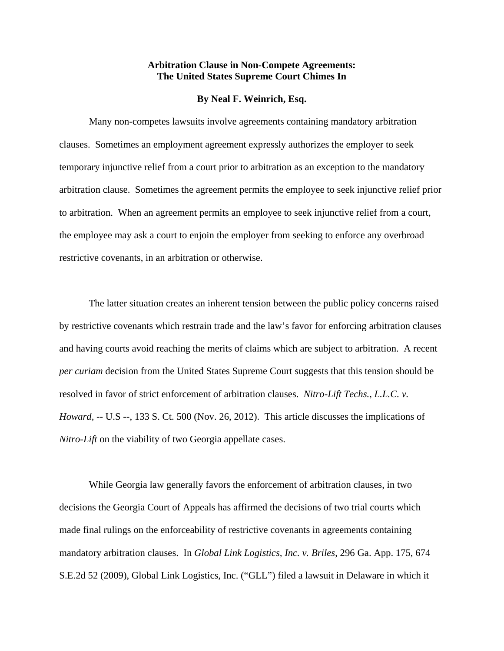## **Arbitration Clause in Non-Compete Agreements: The United States Supreme Court Chimes In**

## **By Neal F. Weinrich, Esq.**

Many non-competes lawsuits involve agreements containing mandatory arbitration clauses. Sometimes an employment agreement expressly authorizes the employer to seek temporary injunctive relief from a court prior to arbitration as an exception to the mandatory arbitration clause. Sometimes the agreement permits the employee to seek injunctive relief prior to arbitration. When an agreement permits an employee to seek injunctive relief from a court, the employee may ask a court to enjoin the employer from seeking to enforce any overbroad restrictive covenants, in an arbitration or otherwise.

The latter situation creates an inherent tension between the public policy concerns raised by restrictive covenants which restrain trade and the law's favor for enforcing arbitration clauses and having courts avoid reaching the merits of claims which are subject to arbitration. A recent *per curiam* decision from the United States Supreme Court suggests that this tension should be resolved in favor of strict enforcement of arbitration clauses. *Nitro-Lift Techs., L.L.C. v. Howard,* -- U.S --, 133 S. Ct. 500 (Nov. 26, 2012). This article discusses the implications of *Nitro-Lift* on the viability of two Georgia appellate cases.

While Georgia law generally favors the enforcement of arbitration clauses, in two decisions the Georgia Court of Appeals has affirmed the decisions of two trial courts which made final rulings on the enforceability of restrictive covenants in agreements containing mandatory arbitration clauses. In *Global Link Logistics, Inc. v. Briles*, 296 Ga. App. 175, 674 S.E.2d 52 (2009), Global Link Logistics, Inc. ("GLL") filed a lawsuit in Delaware in which it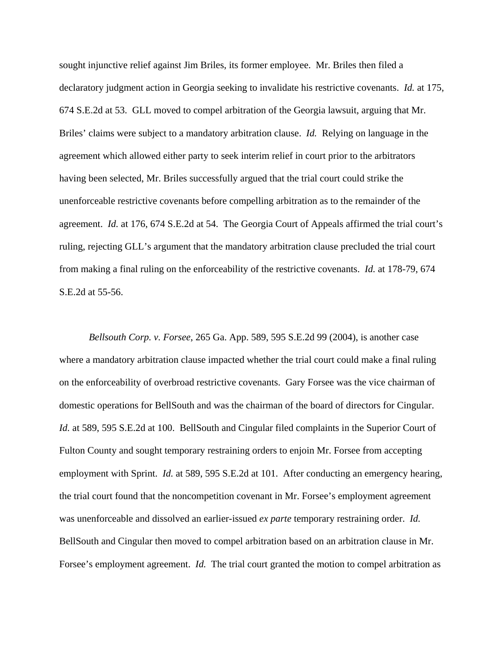sought injunctive relief against Jim Briles, its former employee. Mr. Briles then filed a declaratory judgment action in Georgia seeking to invalidate his restrictive covenants. *Id.* at 175, 674 S.E.2d at 53. GLL moved to compel arbitration of the Georgia lawsuit, arguing that Mr. Briles' claims were subject to a mandatory arbitration clause. *Id.* Relying on language in the agreement which allowed either party to seek interim relief in court prior to the arbitrators having been selected, Mr. Briles successfully argued that the trial court could strike the unenforceable restrictive covenants before compelling arbitration as to the remainder of the agreement. *Id.* at 176, 674 S.E.2d at 54. The Georgia Court of Appeals affirmed the trial court's ruling, rejecting GLL's argument that the mandatory arbitration clause precluded the trial court from making a final ruling on the enforceability of the restrictive covenants. *Id.* at 178-79, 674 S.E.2d at 55-56.

*Bellsouth Corp. v. Forsee*, 265 Ga. App. 589, 595 S.E.2d 99 (2004), is another case where a mandatory arbitration clause impacted whether the trial court could make a final ruling on the enforceability of overbroad restrictive covenants. Gary Forsee was the vice chairman of domestic operations for BellSouth and was the chairman of the board of directors for Cingular. *Id.* at 589, 595 S.E.2d at 100. BellSouth and Cingular filed complaints in the Superior Court of Fulton County and sought temporary restraining orders to enjoin Mr. Forsee from accepting employment with Sprint. *Id.* at 589, 595 S.E.2d at 101. After conducting an emergency hearing, the trial court found that the noncompetition covenant in Mr. Forsee's employment agreement was unenforceable and dissolved an earlier-issued *ex parte* temporary restraining order. *Id.* BellSouth and Cingular then moved to compel arbitration based on an arbitration clause in Mr. Forsee's employment agreement. *Id.* The trial court granted the motion to compel arbitration as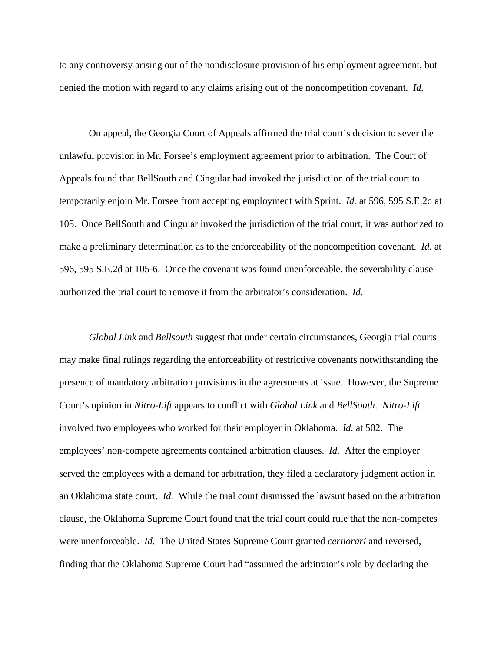to any controversy arising out of the nondisclosure provision of his employment agreement, but denied the motion with regard to any claims arising out of the noncompetition covenant. *Id.*

 On appeal, the Georgia Court of Appeals affirmed the trial court's decision to sever the unlawful provision in Mr. Forsee's employment agreement prior to arbitration. The Court of Appeals found that BellSouth and Cingular had invoked the jurisdiction of the trial court to temporarily enjoin Mr. Forsee from accepting employment with Sprint. *Id.* at 596, 595 S.E.2d at 105. Once BellSouth and Cingular invoked the jurisdiction of the trial court, it was authorized to make a preliminary determination as to the enforceability of the noncompetition covenant. *Id.* at 596, 595 S.E.2d at 105-6. Once the covenant was found unenforceable, the severability clause authorized the trial court to remove it from the arbitrator's consideration. *Id.*

*Global Link* and *Bellsouth* suggest that under certain circumstances, Georgia trial courts may make final rulings regarding the enforceability of restrictive covenants notwithstanding the presence of mandatory arbitration provisions in the agreements at issue. However, the Supreme Court's opinion in *Nitro-Lift* appears to conflict with *Global Link* and *BellSouth*. *Nitro-Lift* involved two employees who worked for their employer in Oklahoma. *Id.* at 502. The employees' non-compete agreements contained arbitration clauses. *Id.* After the employer served the employees with a demand for arbitration, they filed a declaratory judgment action in an Oklahoma state court. *Id.* While the trial court dismissed the lawsuit based on the arbitration clause, the Oklahoma Supreme Court found that the trial court could rule that the non-competes were unenforceable. *Id.* The United States Supreme Court granted *certiorari* and reversed, finding that the Oklahoma Supreme Court had "assumed the arbitrator's role by declaring the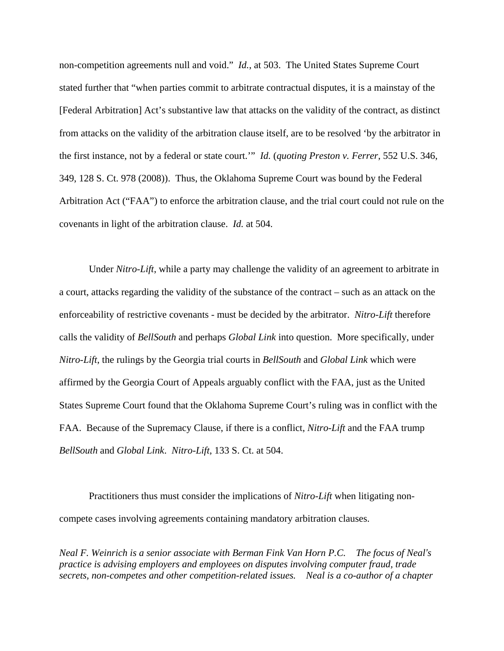non-competition agreements null and void." *Id.*, at 503. The United States Supreme Court stated further that "when parties commit to arbitrate contractual disputes, it is a mainstay of the [Federal Arbitration] Act's substantive law that attacks on the validity of the contract, as distinct from attacks on the validity of the arbitration clause itself, are to be resolved 'by the arbitrator in the first instance, not by a federal or state court.'" *Id.* (*quoting Preston v. Ferrer*, 552 U.S. 346, 349, 128 S. Ct. 978 (2008)). Thus, the Oklahoma Supreme Court was bound by the Federal Arbitration Act ("FAA") to enforce the arbitration clause, and the trial court could not rule on the covenants in light of the arbitration clause. *Id.* at 504.

Under *Nitro-Lift*, while a party may challenge the validity of an agreement to arbitrate in a court, attacks regarding the validity of the substance of the contract – such as an attack on the enforceability of restrictive covenants - must be decided by the arbitrator. *Nitro-Lift* therefore calls the validity of *BellSouth* and perhaps *Global Link* into question. More specifically, under *Nitro-Lift*, the rulings by the Georgia trial courts in *BellSouth* and *Global Link* which were affirmed by the Georgia Court of Appeals arguably conflict with the FAA, just as the United States Supreme Court found that the Oklahoma Supreme Court's ruling was in conflict with the FAA. Because of the Supremacy Clause, if there is a conflict, *Nitro-Lift* and the FAA trump *BellSouth* and *Global Link*. *Nitro-Lift*, 133 S. Ct. at 504.

Practitioners thus must consider the implications of *Nitro-Lift* when litigating noncompete cases involving agreements containing mandatory arbitration clauses.

*Neal F. Weinrich is a senior associate with Berman Fink Van Horn P.C. The focus of Neal's practice is advising employers and employees on disputes involving computer fraud, trade secrets, non-competes and other competition-related issues. Neal is a co-author of a chapter*